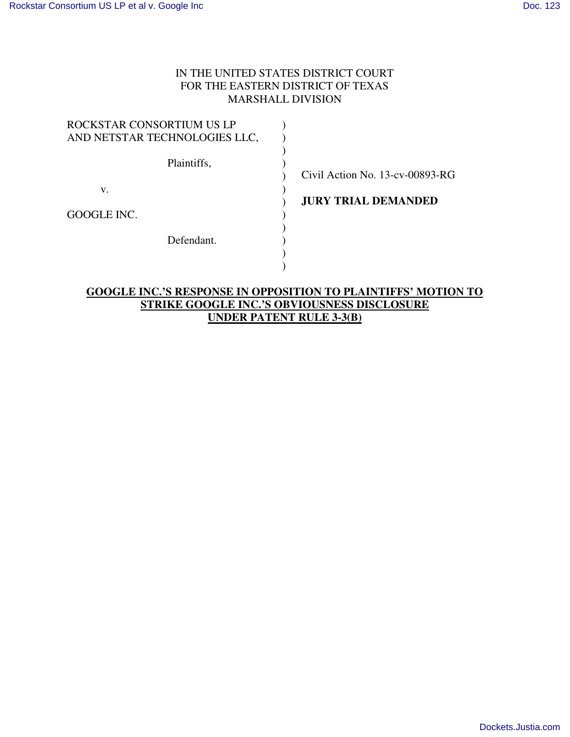## IN THE UNITED STATES DISTRICT COURT FOR THE EASTERN DISTRICT OF TEXAS MARSHALL DIVISION

| ROCKSTAR CONSORTIUM US LP     |               |
|-------------------------------|---------------|
| AND NETSTAR TECHNOLOGIES LLC, |               |
|                               |               |
| Plaintiffs,                   |               |
|                               | Civil A       |
| V.                            |               |
|                               | <b>JURY 7</b> |
| GOOGLE INC.                   |               |
|                               |               |
| Defendant.                    |               |
|                               |               |
|                               |               |

ction No. 13-cv-00893-RG

**TRIAL DEMANDED** 

## **GOOGLE INC.'S RESPONSE IN OPPOSITION TO PLAINTIFFS' MOTION TO STRIKE GOOGLE INC.'S OBVIOUSNESS DISCLOSURE UNDER PATENT RULE 3-3(B)**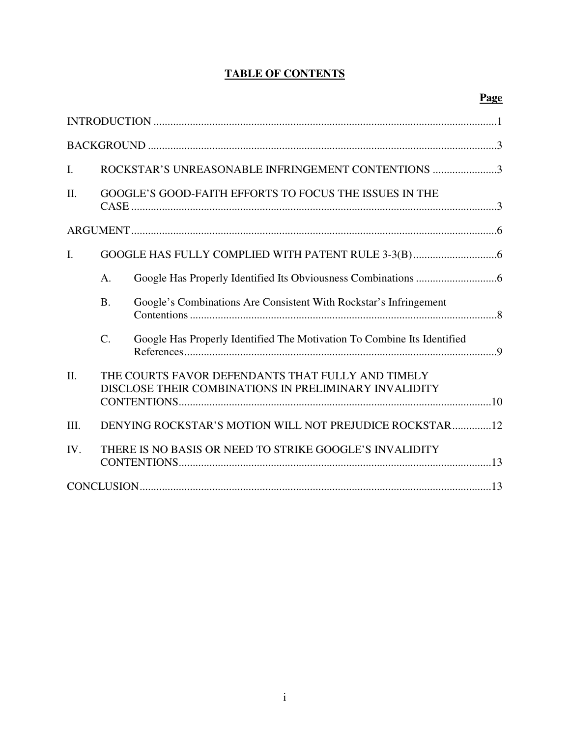# **TABLE OF CONTENTS**

| $\mathbf{I}$ . | ROCKSTAR'S UNREASONABLE INFRINGEMENT CONTENTIONS 3                                                         |                                                                         |  |
|----------------|------------------------------------------------------------------------------------------------------------|-------------------------------------------------------------------------|--|
| II.            | <b>GOOGLE'S GOOD-FAITH EFFORTS TO FOCUS THE ISSUES IN THE</b>                                              |                                                                         |  |
|                |                                                                                                            |                                                                         |  |
| $\mathbf{I}$ . |                                                                                                            |                                                                         |  |
|                | A.                                                                                                         |                                                                         |  |
|                | <b>B.</b>                                                                                                  | Google's Combinations Are Consistent With Rockstar's Infringement       |  |
|                | $C$ .                                                                                                      | Google Has Properly Identified The Motivation To Combine Its Identified |  |
| II.            | THE COURTS FAVOR DEFENDANTS THAT FULLY AND TIMELY<br>DISCLOSE THEIR COMBINATIONS IN PRELIMINARY INVALIDITY |                                                                         |  |
| Ш.             |                                                                                                            | DENYING ROCKSTAR'S MOTION WILL NOT PREJUDICE ROCKSTAR12                 |  |
| IV.            | THERE IS NO BASIS OR NEED TO STRIKE GOOGLE'S INVALIDITY                                                    |                                                                         |  |
|                |                                                                                                            |                                                                         |  |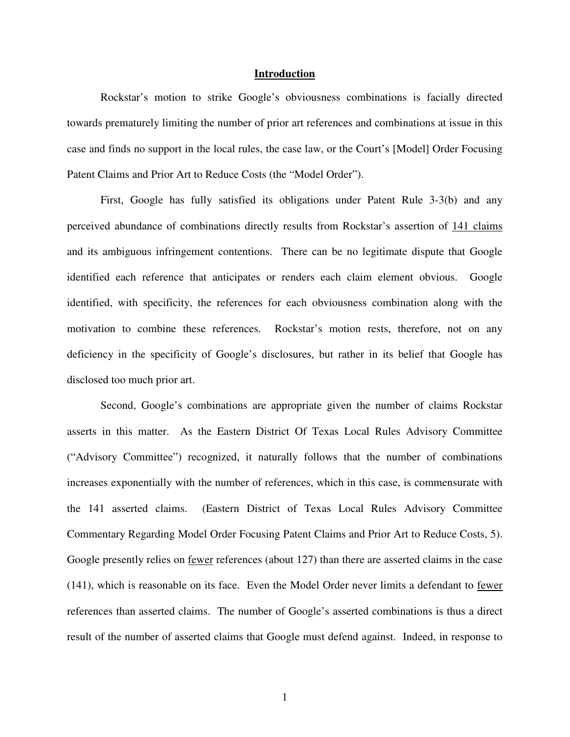#### **Introduction**

Rockstar's motion to strike Google's obviousness combinations is facially directed towards prematurely limiting the number of prior art references and combinations at issue in this case and finds no support in the local rules, the case law, or the Court's [Model] Order Focusing Patent Claims and Prior Art to Reduce Costs (the "Model Order").

First, Google has fully satisfied its obligations under Patent Rule 3-3(b) and any perceived abundance of combinations directly results from Rockstar's assertion of 141 claims and its ambiguous infringement contentions. There can be no legitimate dispute that Google identified each reference that anticipates or renders each claim element obvious. Google identified, with specificity, the references for each obviousness combination along with the motivation to combine these references. Rockstar's motion rests, therefore, not on any deficiency in the specificity of Google's disclosures, but rather in its belief that Google has disclosed too much prior art.

Second, Google's combinations are appropriate given the number of claims Rockstar asserts in this matter. As the Eastern District Of Texas Local Rules Advisory Committee ("Advisory Committee") recognized, it naturally follows that the number of combinations increases exponentially with the number of references, which in this case, is commensurate with the 141 asserted claims. (Eastern District of Texas Local Rules Advisory Committee Commentary Regarding Model Order Focusing Patent Claims and Prior Art to Reduce Costs, 5). Google presently relies on fewer references (about 127) than there are asserted claims in the case (141), which is reasonable on its face. Even the Model Order never limits a defendant to fewer references than asserted claims. The number of Google's asserted combinations is thus a direct result of the number of asserted claims that Google must defend against. Indeed, in response to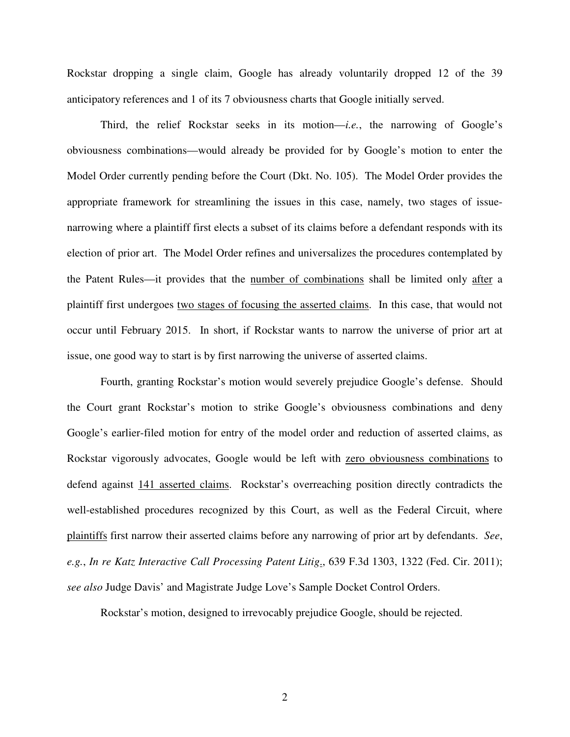Rockstar dropping a single claim, Google has already voluntarily dropped 12 of the 39 anticipatory references and 1 of its 7 obviousness charts that Google initially served.

Third, the relief Rockstar seeks in its motion—*i.e.*, the narrowing of Google's obviousness combinations—would already be provided for by Google's motion to enter the Model Order currently pending before the Court (Dkt. No. 105). The Model Order provides the appropriate framework for streamlining the issues in this case, namely, two stages of issuenarrowing where a plaintiff first elects a subset of its claims before a defendant responds with its election of prior art. The Model Order refines and universalizes the procedures contemplated by the Patent Rules—it provides that the number of combinations shall be limited only after a plaintiff first undergoes two stages of focusing the asserted claims. In this case, that would not occur until February 2015. In short, if Rockstar wants to narrow the universe of prior art at issue, one good way to start is by first narrowing the universe of asserted claims.

Fourth, granting Rockstar's motion would severely prejudice Google's defense. Should the Court grant Rockstar's motion to strike Google's obviousness combinations and deny Google's earlier-filed motion for entry of the model order and reduction of asserted claims, as Rockstar vigorously advocates, Google would be left with zero obviousness combinations to defend against 141 asserted claims. Rockstar's overreaching position directly contradicts the well-established procedures recognized by this Court, as well as the Federal Circuit, where plaintiffs first narrow their asserted claims before any narrowing of prior art by defendants. *See*, *e.g.*, *In re Katz Interactive Call Processing Patent Litig*., 639 F.3d 1303, 1322 (Fed. Cir. 2011); *see also* Judge Davis' and Magistrate Judge Love's Sample Docket Control Orders.

Rockstar's motion, designed to irrevocably prejudice Google, should be rejected.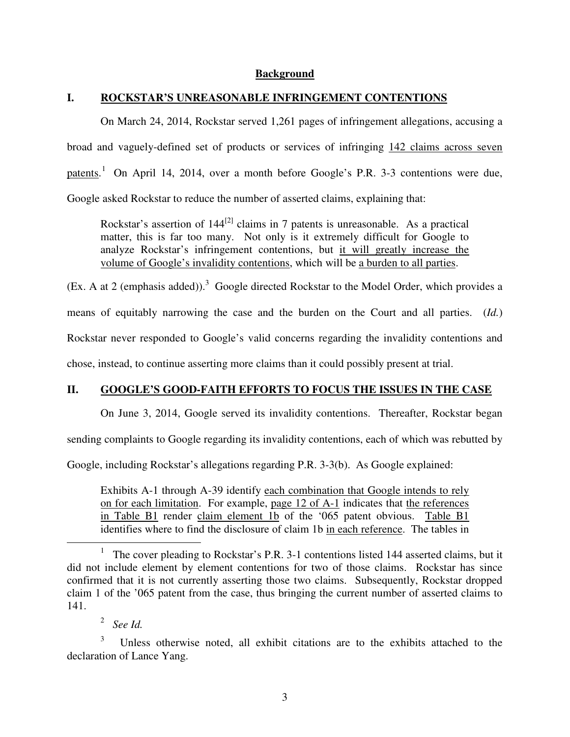#### **Background**

### **I. ROCKSTAR'S UNREASONABLE INFRINGEMENT CONTENTIONS**

On March 24, 2014, Rockstar served 1,261 pages of infringement allegations, accusing a broad and vaguely-defined set of products or services of infringing 142 claims across seven patents.<sup>1</sup> On April 14, 2014, over a month before Google's P.R. 3-3 contentions were due, Google asked Rockstar to reduce the number of asserted claims, explaining that:

Rockstar's assertion of  $144^{[2]}$  claims in 7 patents is unreasonable. As a practical matter, this is far too many. Not only is it extremely difficult for Google to analyze Rockstar's infringement contentions, but it will greatly increase the volume of Google's invalidity contentions, which will be a burden to all parties.

(Ex. A at 2 (emphasis added)).<sup>3</sup> Google directed Rockstar to the Model Order, which provides a

means of equitably narrowing the case and the burden on the Court and all parties. (*Id.*)

Rockstar never responded to Google's valid concerns regarding the invalidity contentions and

chose, instead, to continue asserting more claims than it could possibly present at trial.

## **II. GOOGLE'S GOOD-FAITH EFFORTS TO FOCUS THE ISSUES IN THE CASE**

On June 3, 2014, Google served its invalidity contentions. Thereafter, Rockstar began

sending complaints to Google regarding its invalidity contentions, each of which was rebutted by

Google, including Rockstar's allegations regarding P.R. 3-3(b). As Google explained:

Exhibits A-1 through A-39 identify each combination that Google intends to rely on for each limitation. For example, page 12 of A-1 indicates that the references in Table B1 render claim element 1b of the '065 patent obvious. Table B1 identifies where to find the disclosure of claim 1b in each reference. The tables in

2 *See Id.*

 $\overline{a}$ 

<sup>&</sup>lt;sup>1</sup> The cover pleading to Rockstar's P.R. 3-1 contentions listed 144 asserted claims, but it did not include element by element contentions for two of those claims. Rockstar has since confirmed that it is not currently asserting those two claims. Subsequently, Rockstar dropped claim 1 of the '065 patent from the case, thus bringing the current number of asserted claims to 141.

<sup>3</sup> Unless otherwise noted, all exhibit citations are to the exhibits attached to the declaration of Lance Yang.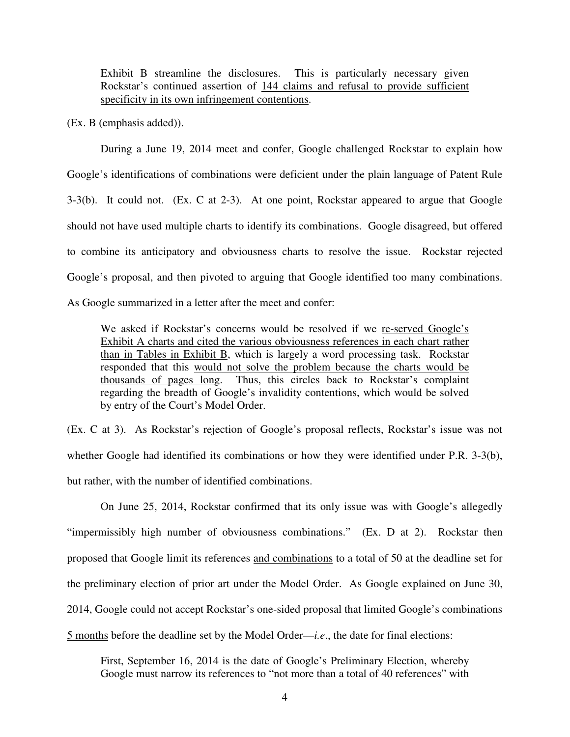Exhibit B streamline the disclosures. This is particularly necessary given Rockstar's continued assertion of 144 claims and refusal to provide sufficient specificity in its own infringement contentions.

(Ex. B (emphasis added)).

During a June 19, 2014 meet and confer, Google challenged Rockstar to explain how Google's identifications of combinations were deficient under the plain language of Patent Rule 3-3(b). It could not. (Ex. C at 2-3). At one point, Rockstar appeared to argue that Google should not have used multiple charts to identify its combinations. Google disagreed, but offered to combine its anticipatory and obviousness charts to resolve the issue. Rockstar rejected Google's proposal, and then pivoted to arguing that Google identified too many combinations. As Google summarized in a letter after the meet and confer:

We asked if Rockstar's concerns would be resolved if we re-served Google's Exhibit A charts and cited the various obviousness references in each chart rather than in Tables in Exhibit B, which is largely a word processing task. Rockstar responded that this would not solve the problem because the charts would be thousands of pages long. Thus, this circles back to Rockstar's complaint regarding the breadth of Google's invalidity contentions, which would be solved by entry of the Court's Model Order.

(Ex. C at 3). As Rockstar's rejection of Google's proposal reflects, Rockstar's issue was not whether Google had identified its combinations or how they were identified under P.R. 3-3(b), but rather, with the number of identified combinations.

On June 25, 2014, Rockstar confirmed that its only issue was with Google's allegedly "impermissibly high number of obviousness combinations." (Ex. D at 2). Rockstar then proposed that Google limit its references and combinations to a total of 50 at the deadline set for the preliminary election of prior art under the Model Order. As Google explained on June 30, 2014, Google could not accept Rockstar's one-sided proposal that limited Google's combinations 5 months before the deadline set by the Model Order—*i.e*., the date for final elections:

First, September 16, 2014 is the date of Google's Preliminary Election, whereby Google must narrow its references to "not more than a total of 40 references" with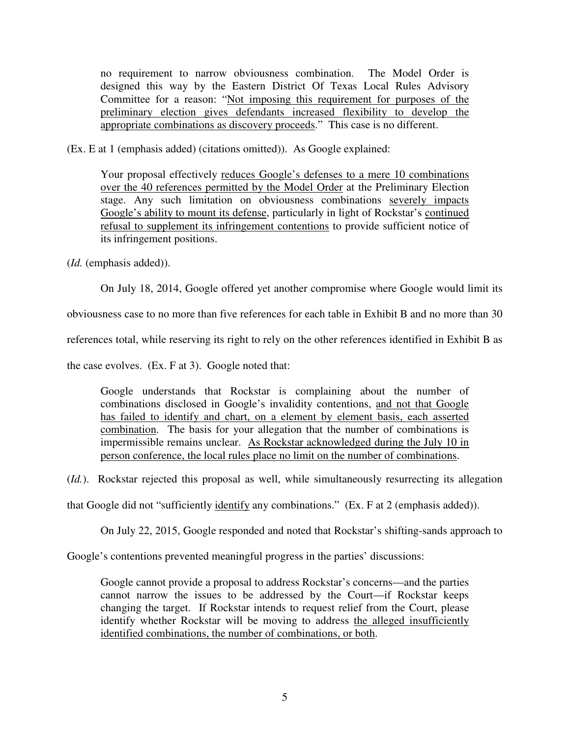no requirement to narrow obviousness combination. The Model Order is designed this way by the Eastern District Of Texas Local Rules Advisory Committee for a reason: "Not imposing this requirement for purposes of the preliminary election gives defendants increased flexibility to develop the appropriate combinations as discovery proceeds." This case is no different.

(Ex. E at 1 (emphasis added) (citations omitted)). As Google explained:

Your proposal effectively reduces Google's defenses to a mere 10 combinations over the 40 references permitted by the Model Order at the Preliminary Election stage. Any such limitation on obviousness combinations severely impacts Google's ability to mount its defense, particularly in light of Rockstar's continued refusal to supplement its infringement contentions to provide sufficient notice of its infringement positions.

(*Id.* (emphasis added)).

On July 18, 2014, Google offered yet another compromise where Google would limit its

obviousness case to no more than five references for each table in Exhibit B and no more than 30

references total, while reserving its right to rely on the other references identified in Exhibit B as

the case evolves. (Ex. F at 3). Google noted that:

Google understands that Rockstar is complaining about the number of combinations disclosed in Google's invalidity contentions, and not that Google has failed to identify and chart, on a element by element basis, each asserted combination. The basis for your allegation that the number of combinations is impermissible remains unclear. As Rockstar acknowledged during the July 10 in person conference, the local rules place no limit on the number of combinations.

(*Id.*). Rockstar rejected this proposal as well, while simultaneously resurrecting its allegation

that Google did not "sufficiently identify any combinations." (Ex. F at 2 (emphasis added)).

On July 22, 2015, Google responded and noted that Rockstar's shifting-sands approach to

Google's contentions prevented meaningful progress in the parties' discussions:

Google cannot provide a proposal to address Rockstar's concerns—and the parties cannot narrow the issues to be addressed by the Court—if Rockstar keeps changing the target. If Rockstar intends to request relief from the Court, please identify whether Rockstar will be moving to address the alleged insufficiently identified combinations, the number of combinations, or both.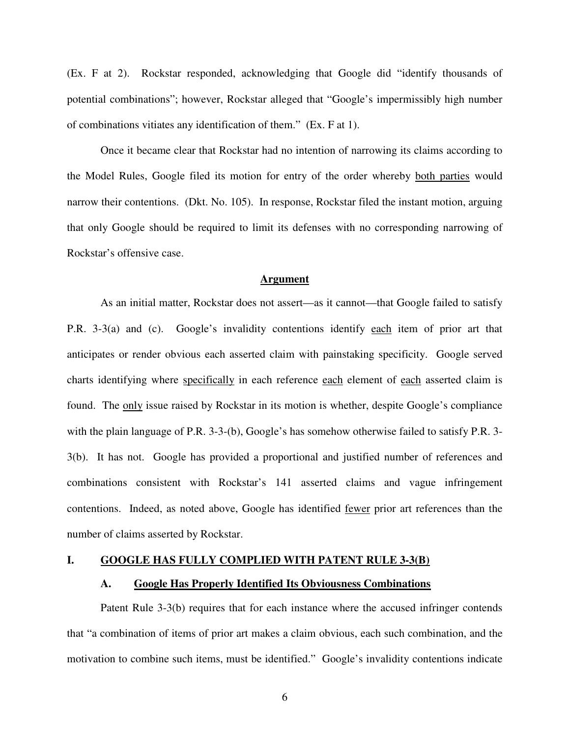(Ex. F at 2). Rockstar responded, acknowledging that Google did "identify thousands of potential combinations"; however, Rockstar alleged that "Google's impermissibly high number of combinations vitiates any identification of them." (Ex. F at 1).

Once it became clear that Rockstar had no intention of narrowing its claims according to the Model Rules, Google filed its motion for entry of the order whereby both parties would narrow their contentions. (Dkt. No. 105). In response, Rockstar filed the instant motion, arguing that only Google should be required to limit its defenses with no corresponding narrowing of Rockstar's offensive case.

#### **Argument**

As an initial matter, Rockstar does not assert—as it cannot—that Google failed to satisfy P.R. 3-3(a) and (c). Google's invalidity contentions identify each item of prior art that anticipates or render obvious each asserted claim with painstaking specificity. Google served charts identifying where specifically in each reference each element of each asserted claim is found. The only issue raised by Rockstar in its motion is whether, despite Google's compliance with the plain language of P.R. 3-3-(b), Google's has somehow otherwise failed to satisfy P.R. 3-3(b). It has not. Google has provided a proportional and justified number of references and combinations consistent with Rockstar's 141 asserted claims and vague infringement contentions. Indeed, as noted above, Google has identified fewer prior art references than the number of claims asserted by Rockstar.

### **I. GOOGLE HAS FULLY COMPLIED WITH PATENT RULE 3-3(B)**

#### **A. Google Has Properly Identified Its Obviousness Combinations**

Patent Rule 3-3(b) requires that for each instance where the accused infringer contends that "a combination of items of prior art makes a claim obvious, each such combination, and the motivation to combine such items, must be identified." Google's invalidity contentions indicate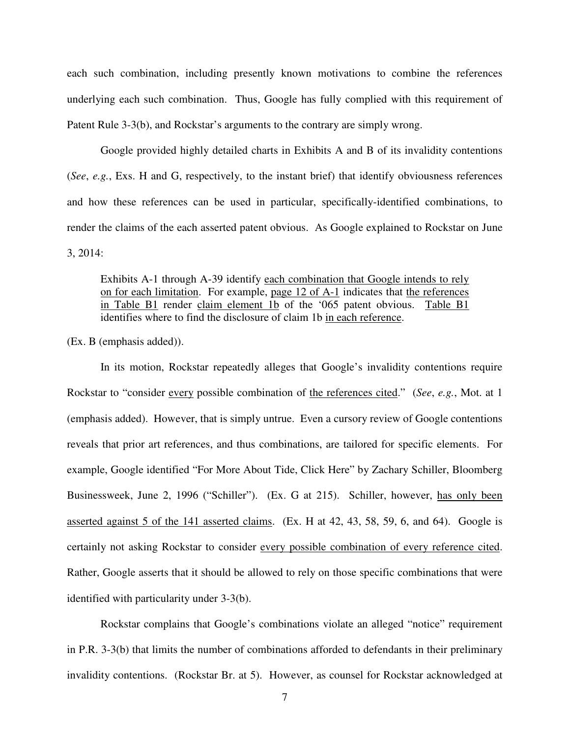each such combination, including presently known motivations to combine the references underlying each such combination. Thus, Google has fully complied with this requirement of Patent Rule 3-3(b), and Rockstar's arguments to the contrary are simply wrong.

Google provided highly detailed charts in Exhibits A and B of its invalidity contentions (*See*, *e.g.*, Exs. H and G, respectively, to the instant brief) that identify obviousness references and how these references can be used in particular, specifically-identified combinations, to render the claims of the each asserted patent obvious. As Google explained to Rockstar on June 3, 2014:

Exhibits A-1 through A-39 identify each combination that Google intends to rely on for each limitation. For example, page 12 of A-1 indicates that the references in Table B1 render claim element 1b of the '065 patent obvious. Table B1 identifies where to find the disclosure of claim 1b in each reference.

(Ex. B (emphasis added)).

In its motion, Rockstar repeatedly alleges that Google's invalidity contentions require Rockstar to "consider every possible combination of the references cited." (*See*, *e.g.*, Mot. at 1 (emphasis added). However, that is simply untrue. Even a cursory review of Google contentions reveals that prior art references, and thus combinations, are tailored for specific elements. For example, Google identified "For More About Tide, Click Here" by Zachary Schiller, Bloomberg Businessweek, June 2, 1996 ("Schiller"). (Ex. G at 215). Schiller, however, has only been asserted against 5 of the 141 asserted claims. (Ex. H at 42, 43, 58, 59, 6, and 64). Google is certainly not asking Rockstar to consider every possible combination of every reference cited. Rather, Google asserts that it should be allowed to rely on those specific combinations that were identified with particularity under 3-3(b).

Rockstar complains that Google's combinations violate an alleged "notice" requirement in P.R. 3-3(b) that limits the number of combinations afforded to defendants in their preliminary invalidity contentions. (Rockstar Br. at 5). However, as counsel for Rockstar acknowledged at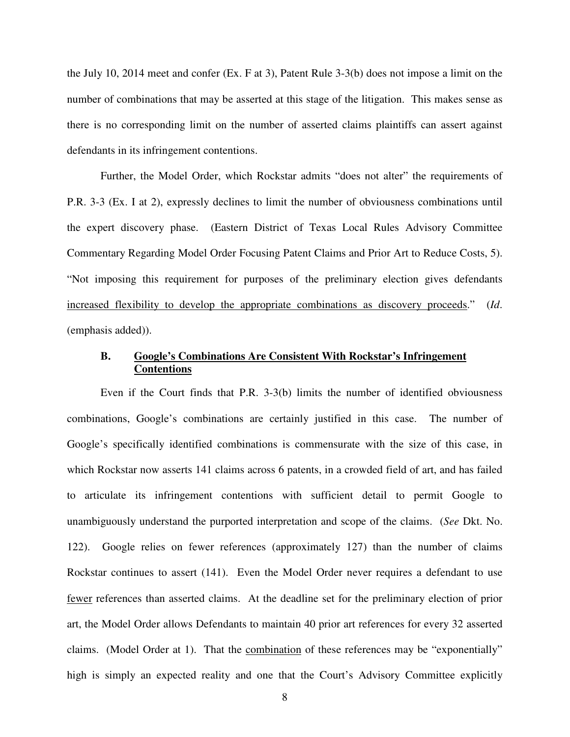the July 10, 2014 meet and confer (Ex. F at 3), Patent Rule 3-3(b) does not impose a limit on the number of combinations that may be asserted at this stage of the litigation. This makes sense as there is no corresponding limit on the number of asserted claims plaintiffs can assert against defendants in its infringement contentions.

Further, the Model Order, which Rockstar admits "does not alter" the requirements of P.R. 3-3 (Ex. I at 2), expressly declines to limit the number of obviousness combinations until the expert discovery phase. (Eastern District of Texas Local Rules Advisory Committee Commentary Regarding Model Order Focusing Patent Claims and Prior Art to Reduce Costs, 5). "Not imposing this requirement for purposes of the preliminary election gives defendants increased flexibility to develop the appropriate combinations as discovery proceeds." (*Id*. (emphasis added)).

#### **B. Google's Combinations Are Consistent With Rockstar's Infringement Contentions**

Even if the Court finds that P.R. 3-3(b) limits the number of identified obviousness combinations, Google's combinations are certainly justified in this case. The number of Google's specifically identified combinations is commensurate with the size of this case, in which Rockstar now asserts 141 claims across 6 patents, in a crowded field of art, and has failed to articulate its infringement contentions with sufficient detail to permit Google to unambiguously understand the purported interpretation and scope of the claims. (*See* Dkt. No. 122). Google relies on fewer references (approximately 127) than the number of claims Rockstar continues to assert (141). Even the Model Order never requires a defendant to use fewer references than asserted claims. At the deadline set for the preliminary election of prior art, the Model Order allows Defendants to maintain 40 prior art references for every 32 asserted claims. (Model Order at 1). That the combination of these references may be "exponentially" high is simply an expected reality and one that the Court's Advisory Committee explicitly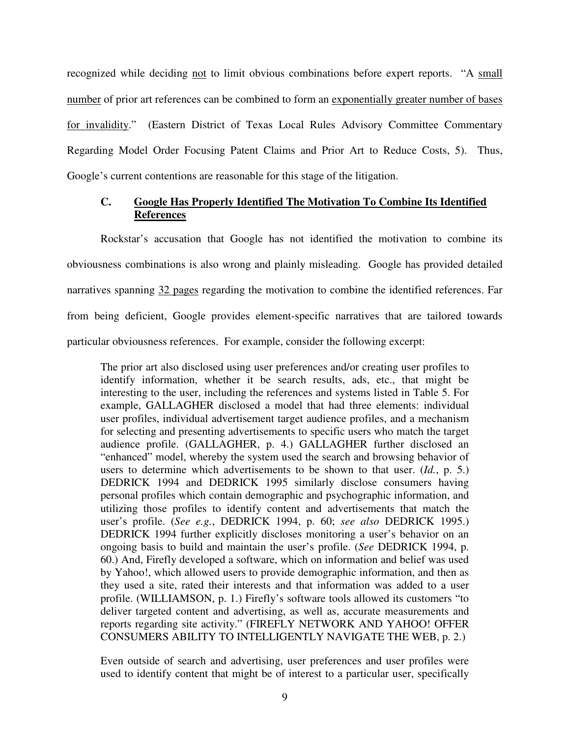recognized while deciding not to limit obvious combinations before expert reports. "A small number of prior art references can be combined to form an exponentially greater number of bases for invalidity." (Eastern District of Texas Local Rules Advisory Committee Commentary Regarding Model Order Focusing Patent Claims and Prior Art to Reduce Costs, 5). Thus, Google's current contentions are reasonable for this stage of the litigation.

### **C. Google Has Properly Identified The Motivation To Combine Its Identified References**

Rockstar's accusation that Google has not identified the motivation to combine its obviousness combinations is also wrong and plainly misleading. Google has provided detailed narratives spanning 32 pages regarding the motivation to combine the identified references. Far from being deficient, Google provides element-specific narratives that are tailored towards particular obviousness references. For example, consider the following excerpt:

The prior art also disclosed using user preferences and/or creating user profiles to identify information, whether it be search results, ads, etc., that might be interesting to the user, including the references and systems listed in Table 5. For example, GALLAGHER disclosed a model that had three elements: individual user profiles, individual advertisement target audience profiles, and a mechanism for selecting and presenting advertisements to specific users who match the target audience profile. (GALLAGHER, p. 4.) GALLAGHER further disclosed an "enhanced" model, whereby the system used the search and browsing behavior of users to determine which advertisements to be shown to that user. (*Id.*, p. 5.) DEDRICK 1994 and DEDRICK 1995 similarly disclose consumers having personal profiles which contain demographic and psychographic information, and utilizing those profiles to identify content and advertisements that match the user's profile. (*See e.g.*, DEDRICK 1994, p. 60; *see also* DEDRICK 1995.) DEDRICK 1994 further explicitly discloses monitoring a user's behavior on an ongoing basis to build and maintain the user's profile. (*See* DEDRICK 1994, p. 60.) And, Firefly developed a software, which on information and belief was used by Yahoo!, which allowed users to provide demographic information, and then as they used a site, rated their interests and that information was added to a user profile. (WILLIAMSON, p. 1.) Firefly's software tools allowed its customers "to deliver targeted content and advertising, as well as, accurate measurements and reports regarding site activity." (FIREFLY NETWORK AND YAHOO! OFFER CONSUMERS ABILITY TO INTELLIGENTLY NAVIGATE THE WEB, p. 2.)

Even outside of search and advertising, user preferences and user profiles were used to identify content that might be of interest to a particular user, specifically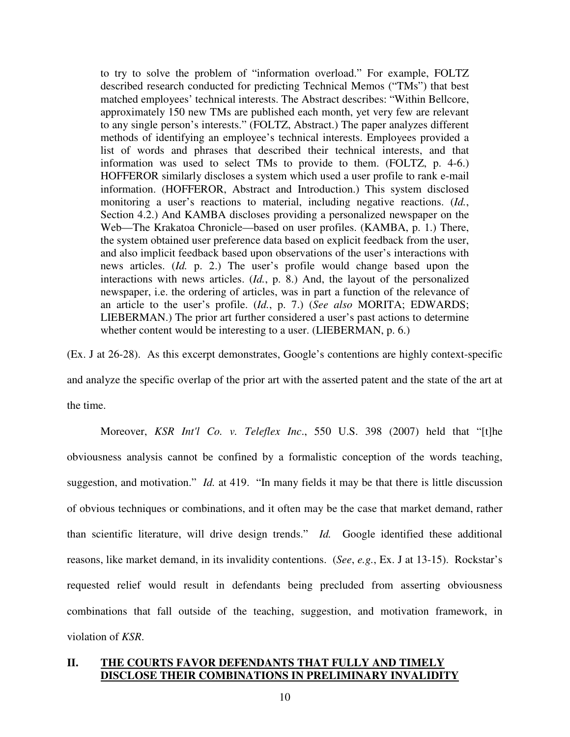to try to solve the problem of "information overload." For example, FOLTZ described research conducted for predicting Technical Memos ("TMs") that best matched employees' technical interests. The Abstract describes: "Within Bellcore, approximately 150 new TMs are published each month, yet very few are relevant to any single person's interests." (FOLTZ, Abstract.) The paper analyzes different methods of identifying an employee's technical interests. Employees provided a list of words and phrases that described their technical interests, and that information was used to select TMs to provide to them. (FOLTZ, p. 4-6.) HOFFEROR similarly discloses a system which used a user profile to rank e-mail information. (HOFFEROR, Abstract and Introduction.) This system disclosed monitoring a user's reactions to material, including negative reactions. (*Id.*, Section 4.2.) And KAMBA discloses providing a personalized newspaper on the Web—The Krakatoa Chronicle—based on user profiles. (KAMBA, p. 1.) There, the system obtained user preference data based on explicit feedback from the user, and also implicit feedback based upon observations of the user's interactions with news articles. (*Id.* p. 2.) The user's profile would change based upon the interactions with news articles. (*Id.*, p. 8.) And, the layout of the personalized newspaper, i.e. the ordering of articles, was in part a function of the relevance of an article to the user's profile. (*Id.*, p. 7.) (*See also* MORITA; EDWARDS; LIEBERMAN.) The prior art further considered a user's past actions to determine whether content would be interesting to a user. (LIEBERMAN, p. 6.)

(Ex. J at 26-28). As this excerpt demonstrates, Google's contentions are highly context-specific and analyze the specific overlap of the prior art with the asserted patent and the state of the art at the time.

Moreover, *KSR Int'l Co. v. Teleflex Inc*., 550 U.S. 398 (2007) held that "[t]he obviousness analysis cannot be confined by a formalistic conception of the words teaching, suggestion, and motivation." *Id.* at 419. "In many fields it may be that there is little discussion of obvious techniques or combinations, and it often may be the case that market demand, rather than scientific literature, will drive design trends." *Id.* Google identified these additional reasons, like market demand, in its invalidity contentions. (*See*, *e.g.*, Ex. J at 13-15). Rockstar's requested relief would result in defendants being precluded from asserting obviousness combinations that fall outside of the teaching, suggestion, and motivation framework, in violation of *KSR*.

## **II. THE COURTS FAVOR DEFENDANTS THAT FULLY AND TIMELY DISCLOSE THEIR COMBINATIONS IN PRELIMINARY INVALIDITY**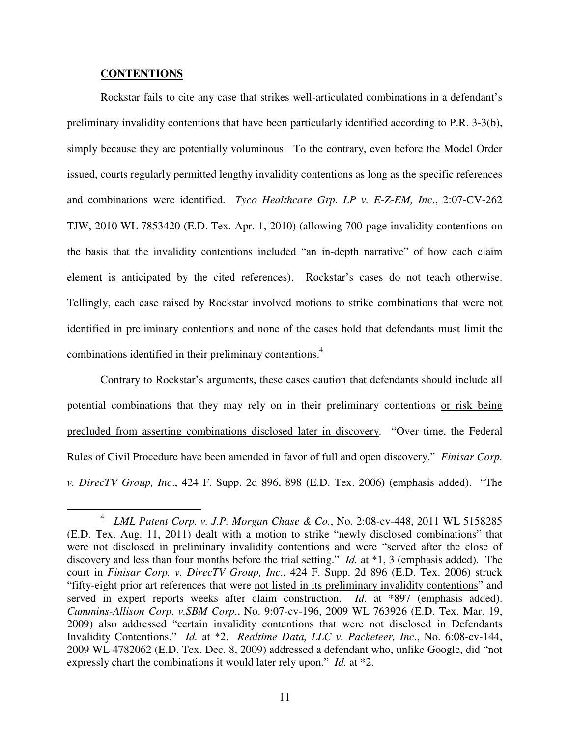#### **CONTENTIONS**

 $\overline{a}$ 

Rockstar fails to cite any case that strikes well-articulated combinations in a defendant's preliminary invalidity contentions that have been particularly identified according to P.R. 3-3(b), simply because they are potentially voluminous. To the contrary, even before the Model Order issued, courts regularly permitted lengthy invalidity contentions as long as the specific references and combinations were identified. *Tyco Healthcare Grp. LP v. E-Z-EM, Inc*., 2:07-CV-262 TJW, 2010 WL 7853420 (E.D. Tex. Apr. 1, 2010) (allowing 700-page invalidity contentions on the basis that the invalidity contentions included "an in-depth narrative" of how each claim element is anticipated by the cited references). Rockstar's cases do not teach otherwise. Tellingly, each case raised by Rockstar involved motions to strike combinations that were not identified in preliminary contentions and none of the cases hold that defendants must limit the combinations identified in their preliminary contentions.<sup>4</sup>

Contrary to Rockstar's arguments, these cases caution that defendants should include all potential combinations that they may rely on in their preliminary contentions or risk being precluded from asserting combinations disclosed later in discovery*.* "Over time, the Federal Rules of Civil Procedure have been amended in favor of full and open discovery." *Finisar Corp. v. DirecTV Group, Inc*., 424 F. Supp. 2d 896, 898 (E.D. Tex. 2006) (emphasis added). "The

<sup>4</sup> *LML Patent Corp. v. J.P. Morgan Chase & Co.*, No. 2:08-cv-448, 2011 WL 5158285 (E.D. Tex. Aug. 11, 2011) dealt with a motion to strike "newly disclosed combinations" that were not disclosed in preliminary invalidity contentions and were "served after the close of discovery and less than four months before the trial setting." *Id.* at \*1, 3 (emphasis added). The court in *Finisar Corp. v. DirecTV Group, Inc*., 424 F. Supp. 2d 896 (E.D. Tex. 2006) struck "fifty-eight prior art references that were not listed in its preliminary invalidity contentions" and served in expert reports weeks after claim construction. *Id.* at \*897 (emphasis added). *Cummins-Allison Corp. v.SBM Corp*., No. 9:07-cv-196, 2009 WL 763926 (E.D. Tex. Mar. 19, 2009) also addressed "certain invalidity contentions that were not disclosed in Defendants Invalidity Contentions." *Id.* at \*2. *Realtime Data, LLC v. Packeteer, Inc*., No. 6:08-cv-144, 2009 WL 4782062 (E.D. Tex. Dec. 8, 2009) addressed a defendant who, unlike Google, did "not expressly chart the combinations it would later rely upon." *Id.* at \*2.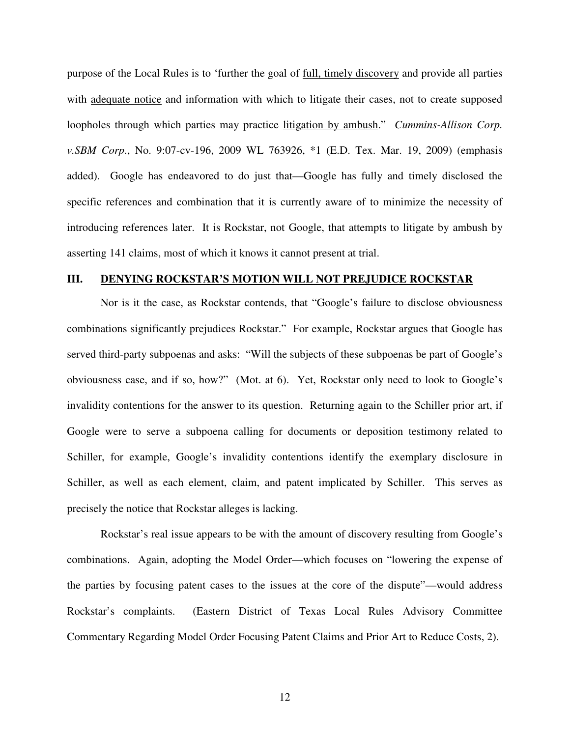purpose of the Local Rules is to 'further the goal of full, timely discovery and provide all parties with adequate notice and information with which to litigate their cases, not to create supposed loopholes through which parties may practice litigation by ambush." *Cummins-Allison Corp. v.SBM Corp*., No. 9:07-cv-196, 2009 WL 763926, \*1 (E.D. Tex. Mar. 19, 2009) (emphasis added). Google has endeavored to do just that—Google has fully and timely disclosed the specific references and combination that it is currently aware of to minimize the necessity of introducing references later. It is Rockstar, not Google, that attempts to litigate by ambush by asserting 141 claims, most of which it knows it cannot present at trial.

#### **III. DENYING ROCKSTAR'S MOTION WILL NOT PREJUDICE ROCKSTAR**

Nor is it the case, as Rockstar contends, that "Google's failure to disclose obviousness combinations significantly prejudices Rockstar." For example, Rockstar argues that Google has served third-party subpoenas and asks: "Will the subjects of these subpoenas be part of Google's obviousness case, and if so, how?" (Mot. at 6). Yet, Rockstar only need to look to Google's invalidity contentions for the answer to its question. Returning again to the Schiller prior art, if Google were to serve a subpoena calling for documents or deposition testimony related to Schiller, for example, Google's invalidity contentions identify the exemplary disclosure in Schiller, as well as each element, claim, and patent implicated by Schiller. This serves as precisely the notice that Rockstar alleges is lacking.

Rockstar's real issue appears to be with the amount of discovery resulting from Google's combinations. Again, adopting the Model Order—which focuses on "lowering the expense of the parties by focusing patent cases to the issues at the core of the dispute"—would address Rockstar's complaints. (Eastern District of Texas Local Rules Advisory Committee Commentary Regarding Model Order Focusing Patent Claims and Prior Art to Reduce Costs, 2).

12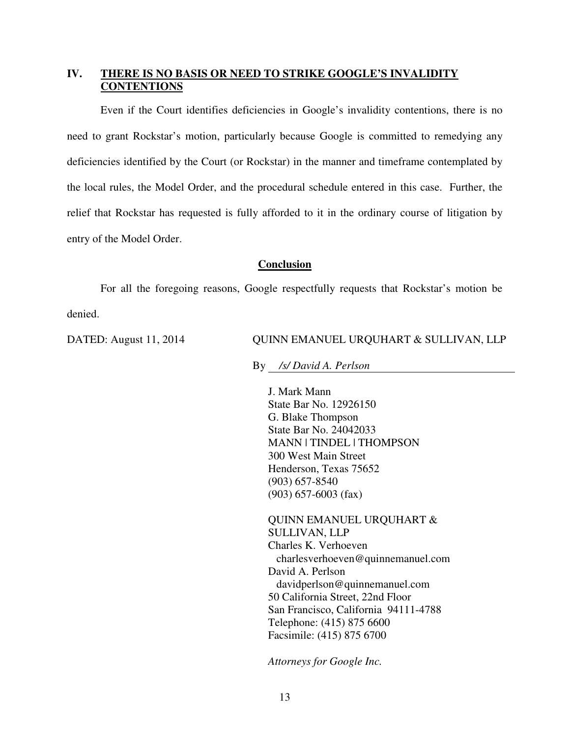## **IV. THERE IS NO BASIS OR NEED TO STRIKE GOOGLE'S INVALIDITY CONTENTIONS**

Even if the Court identifies deficiencies in Google's invalidity contentions, there is no need to grant Rockstar's motion, particularly because Google is committed to remedying any deficiencies identified by the Court (or Rockstar) in the manner and timeframe contemplated by the local rules, the Model Order, and the procedural schedule entered in this case. Further, the relief that Rockstar has requested is fully afforded to it in the ordinary course of litigation by entry of the Model Order.

### **Conclusion**

For all the foregoing reasons, Google respectfully requests that Rockstar's motion be denied.

#### DATED: August 11, 2014 QUINN EMANUEL URQUHART & SULLIVAN, LLP

By */s/ David A. Perlson* 

J. Mark Mann State Bar No. 12926150 G. Blake Thompson State Bar No. 24042033 MANN | TINDEL | THOMPSON 300 West Main Street Henderson, Texas 75652 (903) 657-8540 (903) 657-6003 (fax)

QUINN EMANUEL URQUHART & SULLIVAN, LLP Charles K. Verhoeven charlesverhoeven@quinnemanuel.com David A. Perlson davidperlson@quinnemanuel.com 50 California Street, 22nd Floor San Francisco, California 94111-4788 Telephone: (415) 875 6600 Facsimile: (415) 875 6700

*Attorneys for Google Inc.*